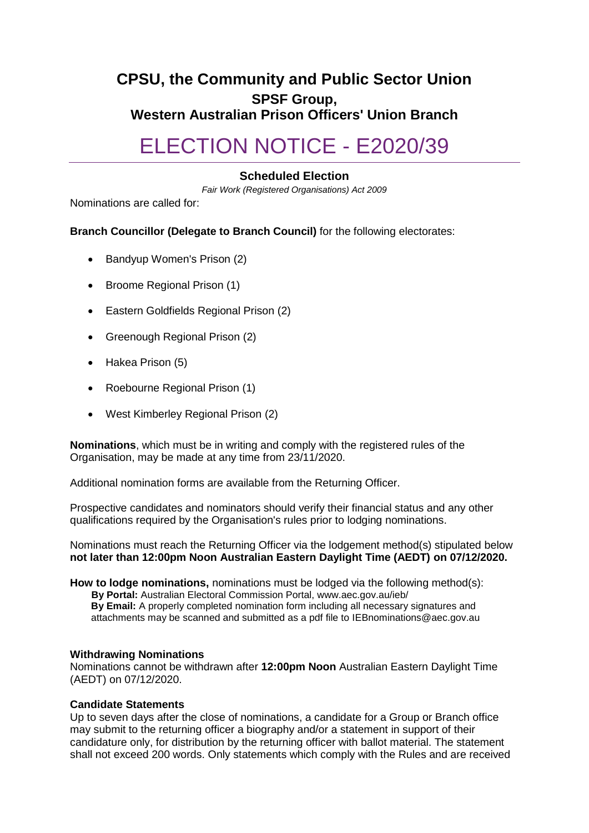# **CPSU, the Community and Public Sector Union SPSF Group, Western Australian Prison Officers' Union Branch**

# ELECTION NOTICE - E2020/39

## **Scheduled Election**

*Fair Work (Registered Organisations) Act 2009*

Nominations are called for:

### **Branch Councillor (Delegate to Branch Council)** for the following electorates:

- Bandyup Women's Prison (2)
- Broome Regional Prison (1)
- Eastern Goldfields Regional Prison (2)
- Greenough Regional Prison (2)
- Hakea Prison (5)
- Roebourne Regional Prison (1)
- West Kimberley Regional Prison (2)

**Nominations**, which must be in writing and comply with the registered rules of the Organisation, may be made at any time from 23/11/2020.

Additional nomination forms are available from the Returning Officer.

Prospective candidates and nominators should verify their financial status and any other qualifications required by the Organisation's rules prior to lodging nominations.

Nominations must reach the Returning Officer via the lodgement method(s) stipulated below **not later than 12:00pm Noon Australian Eastern Daylight Time (AEDT) on 07/12/2020.**

**How to lodge nominations,** nominations must be lodged via the following method(s): **By Portal:** Australian Electoral Commission Portal, www.aec.gov.au/ieb/ **By Email:** A properly completed nomination form including all necessary signatures and attachments may be scanned and submitted as a pdf file to IEBnominations@aec.gov.au

#### **Withdrawing Nominations**

Nominations cannot be withdrawn after **12:00pm Noon** Australian Eastern Daylight Time (AEDT) on 07/12/2020.

#### **Candidate Statements**

Up to seven days after the close of nominations, a candidate for a Group or Branch office may submit to the returning officer a biography and/or a statement in support of their candidature only, for distribution by the returning officer with ballot material. The statement shall not exceed 200 words. Only statements which comply with the Rules and are received